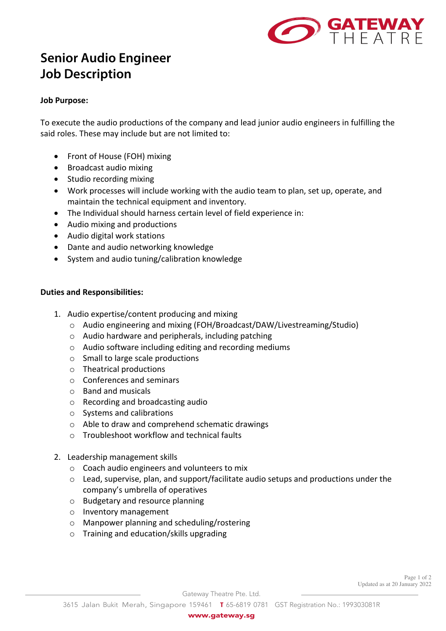

# **Senior Audio Engineer Job Description**

## **Job Purpose:**

To execute the audio productions of the company and lead junior audio engineers in fulfilling the said roles. These may include but are not limited to:

- Front of House (FOH) mixing
- Broadcast audio mixing
- Studio recording mixing
- Work processes will include working with the audio team to plan, set up, operate, and maintain the technical equipment and inventory.
- The Individual should harness certain level of field experience in:
- Audio mixing and productions
- Audio digital work stations
- Dante and audio networking knowledge
- System and audio tuning/calibration knowledge

## **Duties and Responsibilities:**

- 1. Audio expertise/content producing and mixing
	- o Audio engineering and mixing (FOH/Broadcast/DAW/Livestreaming/Studio)
	- o Audio hardware and peripherals, including patching
	- o Audio software including editing and recording mediums
	- o Small to large scale productions
	- o Theatrical productions
	- o Conferences and seminars
	- o Band and musicals
	- o Recording and broadcasting audio
	- o Systems and calibrations
	- o Able to draw and comprehend schematic drawings
	- o Troubleshoot workflow and technical faults
- 2. Leadership management skills
	- o Coach audio engineers and volunteers to mix
	- o Lead, supervise, plan, and support/facilitate audio setups and productions under the company's umbrella of operatives
	- o Budgetary and resource planning
	- o Inventory management
	- o Manpower planning and scheduling/rostering
	- o Training and education/skills upgrading